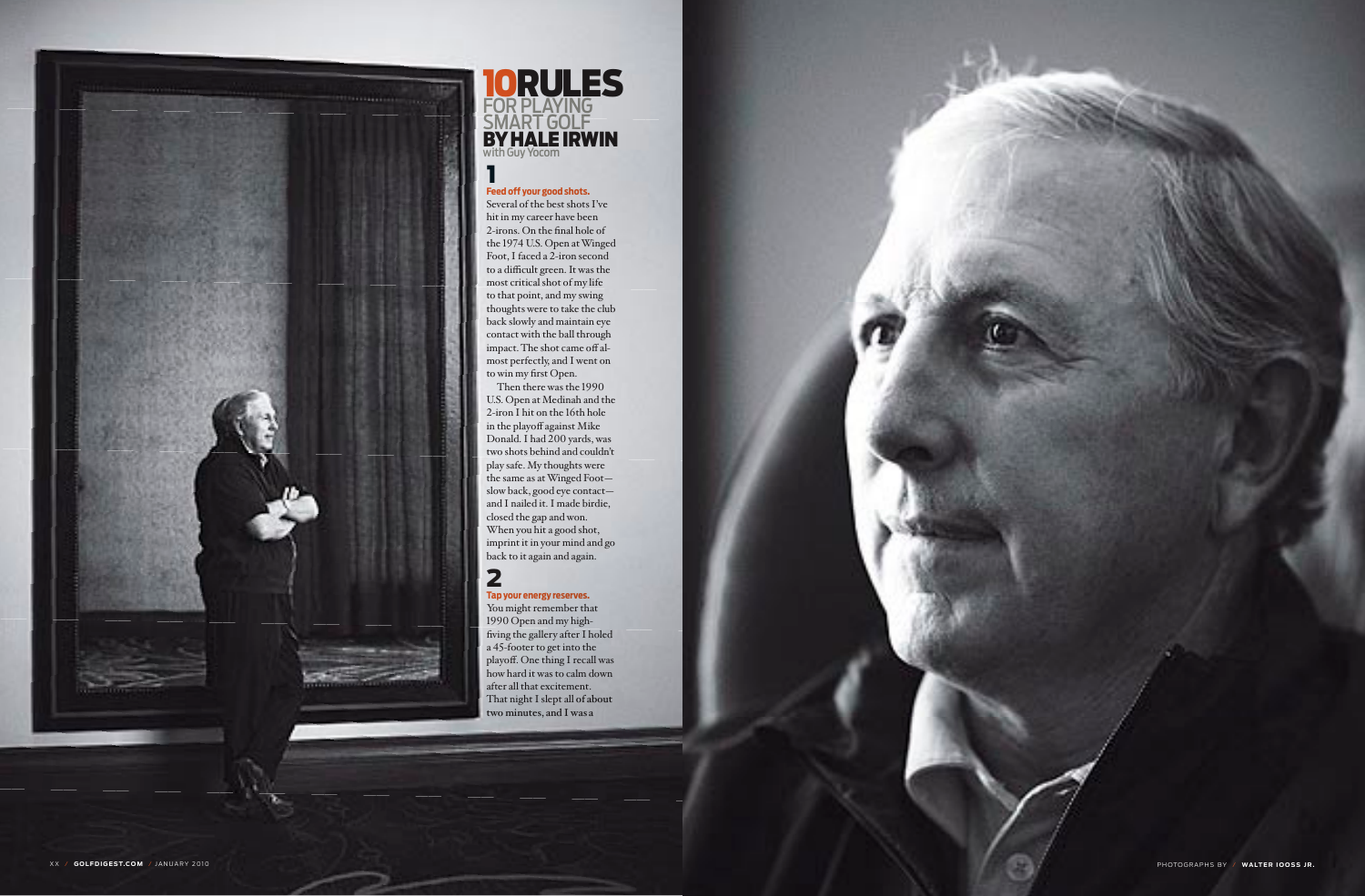all secondary Credits • will go here • as shown



10Rules for playing **SMART GOLF BY HALE IRWIN** with Guy Yocom



# 1 **Feed off your good shots.**

Several of the best shots I've hit in my career have been 2-irons. On the final hole of the 1974 U.S. Open at Winged Foot, I faced a 2-iron second to a difficult green. It was the most critical shot of my life to that point, and my swing thoughts were to take the club back slowly and maintain eye contact with the ball through impact. The shot came off al most perfectly, and I went on to win my first Open.

Then there was the 1990 U.S. Open at Medinah and the 2-iron I hit on the 16th hole in the playoff against Mike Donald. I had 200 yards, was two shots behind and couldn't play safe. My thoughts were the same as at Winged Foot slow back, good eye contact and I nailed it. I made birdie, closed the gap and won. When you hit a good shot, imprint it in your mind and go back to it again and again.

#### 2 **Tap your energy reserves.**

You might remember that 1990 Open and my highfiving the gallery after I holed a 45-footer to get into the playoff. One thing I recall was how hard it was to calm down after all that excitement. That night I slept all of about two minutes, and I was a